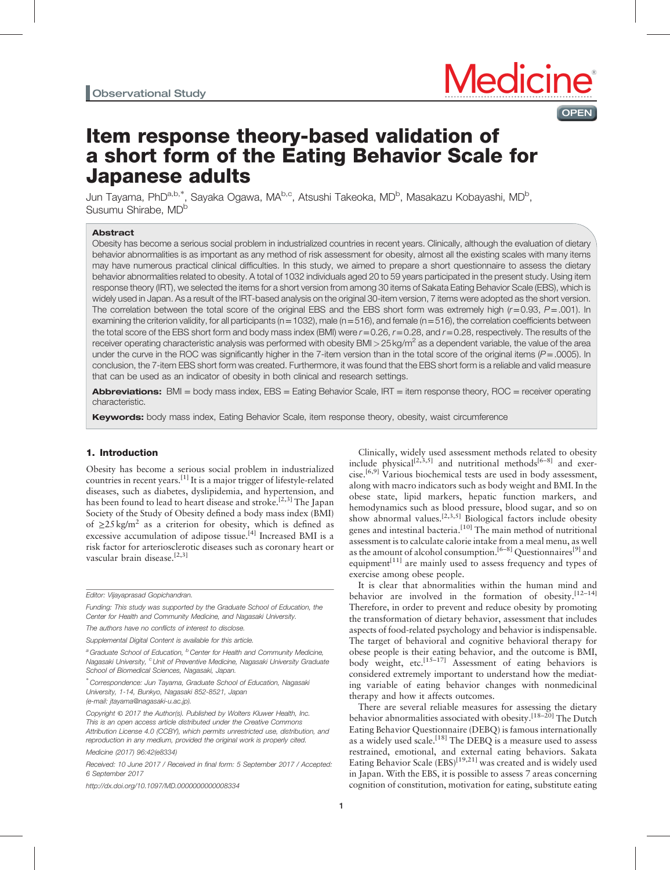

# Item response theory-based validation of a short form of the Eating Behavior Scale for Japanese adults

Jun Tayama, PhD<sup>a,b,\*</sup>, Sayaka Ogawa, MA<sup>b,c</sup>, Atsushi Takeoka, MD<sup>b</sup>, Masakazu Kobayashi, MD<sup>b</sup>, Susumu Shirabe. MD<sup>b</sup>

## Abstract

Obesity has become a serious social problem in industrialized countries in recent years. Clinically, although the evaluation of dietary behavior abnormalities is as important as any method of risk assessment for obesity, almost all the existing scales with many items may have numerous practical clinical difficulties. In this study, we aimed to prepare a short questionnaire to assess the dietary behavior abnormalities related to obesity. A total of 1032 individuals aged 20 to 59 years participated in the present study. Using item response theory (IRT), we selected the items for a short version from among 30 items of Sakata Eating Behavior Scale (EBS), which is widely used in Japan. As a result of the IRT-based analysis on the original 30-item version, 7 items were adopted as the short version. The correlation between the total score of the original EBS and the EBS short form was extremely high  $(r=0.93, P=.001)$ . In examining the criterion validity, for all participants ( $n=1032$ ), male ( $n=516$ ), and female ( $n=516$ ), the correlation coefficients between the total score of the EBS short form and body mass index (BMI) were  $r=0.26$ ,  $r=0.28$ , and  $r=0.28$ , respectively. The results of the receiver operating characteristic analysis was performed with obesity BMI $>$ 25 kg/m<sup>2</sup> as a dependent variable, the value of the area under the curve in the ROC was significantly higher in the 7-item version than in the total score of the original items  $(P = .0005)$ . In conclusion, the 7-item EBS short form was created. Furthermore, it was found that the EBS short form is a reliable and valid measure that can be used as an indicator of obesity in both clinical and research settings.

Abbreviations: BMI = body mass index, EBS = Eating Behavior Scale, IRT = item response theory, ROC = receiver operating characteristic.

Keywords: body mass index, Eating Behavior Scale, item response theory, obesity, waist circumference

## 1. Introduction

Obesity has become a serious social problem in industrialized countries in recent years.[\[1\]](#page-5-0) It is a major trigger of lifestyle-related diseases, such as diabetes, dyslipidemia, and hypertension, and has been found to lead to heart disease and stroke.<sup>[2,3]</sup> The Japan Society of the Study of Obesity defined a body mass index (BMI) of  $\geq$ 25 kg/m<sup>2</sup> as a criterion for obesity, which is defined as excessive accumulation of adipose tissue.<sup>[\[4\]](#page-5-0)</sup> Increased BMI is a risk factor for arteriosclerotic diseases such as coronary heart or vascular brain disease.<sup>[2,3]</sup>

Medicine (2017) 96:42(e8334)

Received: 10 June 2017 / Received in final form: 5 September 2017 / Accepted: 6 September 2017

<http://dx.doi.org/10.1097/MD.0000000000008334>

Clinically, widely used assessment methods related to obesity include physical<sup>[2,3,5]</sup> and nutritional methods<sup>[6–8]</sup> and exercise.<sup>[6,9]</sup> Various biochemical tests are used in body assessment, along with macro indicators such as body weight and BMI. In the obese state, lipid markers, hepatic function markers, and hemodynamics such as blood pressure, blood sugar, and so on show abnormal values.<sup>[2,3,5]</sup> Biological factors include obesity genes and intestinal bacteria. $[10]$  The main method of nutritional assessment is to calculate calorie intake from a meal menu, as well as the amount of alcohol consumption.<sup>[6–8]</sup> Questionnaires<sup>[\[9\]](#page-5-0)</sup> and equipment $[11]$  are mainly used to assess frequency and types of exercise among obese people.

It is clear that abnormalities within the human mind and behavior are involved in the formation of obesity.<sup>[12-14]</sup> Therefore, in order to prevent and reduce obesity by promoting the transformation of dietary behavior, assessment that includes aspects of food-related psychology and behavior is indispensable. The target of behavioral and cognitive behavioral therapy for obese people is their eating behavior, and the outcome is BMI, body weight, etc.<sup>[15-17]</sup> Assessment of eating behaviors is considered extremely important to understand how the mediating variable of eating behavior changes with nonmedicinal therapy and how it affects outcomes.

There are several reliable measures for assessing the dietary behavior abnormalities associated with obesity.<sup>[18–20]</sup> The Dutch Eating Behavior Questionnaire (DEBQ) is famous internationally as a widely used scale.<sup>[\[18\]](#page-5-0)</sup> The DEBQ is a measure used to assess restrained, emotional, and external eating behaviors. Sakata Eating Behavior Scale  $(EBS)^{[19,21]}$  was created and is widely used in Japan. With the EBS, it is possible to assess 7 areas concerning cognition of constitution, motivation for eating, substitute eating

Editor: Vijayaprasad Gopichandran.

Funding: This study was supported by the Graduate School of Education, the Center for Health and Community Medicine, and Nagasaki University.

The authors have no conflicts of interest to disclose.

Supplemental Digital Content is available for this article.

<sup>&</sup>lt;sup>a</sup> Graduate School of Education, <sup>b</sup> Center for Health and Community Medicine, Nagasaki University, <sup>c</sup>Unit of Preventive Medicine, Nagasaki University Graduate School of Biomedical Sciences, Nagasaki, Japan.

<sup>∗</sup> Correspondence: Jun Tayama, Graduate School of Education, Nagasaki University, 1-14, Bunkyo, Nagasaki 852-8521, Japan (e-mail: [jtayama@nagasaki-u.ac.jp\)](mailto:jtayama@nagasaki-u.ac.jp).

Copyright © 2017 the Author(s). Published by Wolters Kluwer Health, Inc. This is an open access article distributed under the [Creative Commons](http://creativecommons.org/licenses/by/4.0) [Attribution License 4.0](http://creativecommons.org/licenses/by/4.0) (CCBY), which permits unrestricted use, distribution, and reproduction in any medium, provided the original work is properly cited.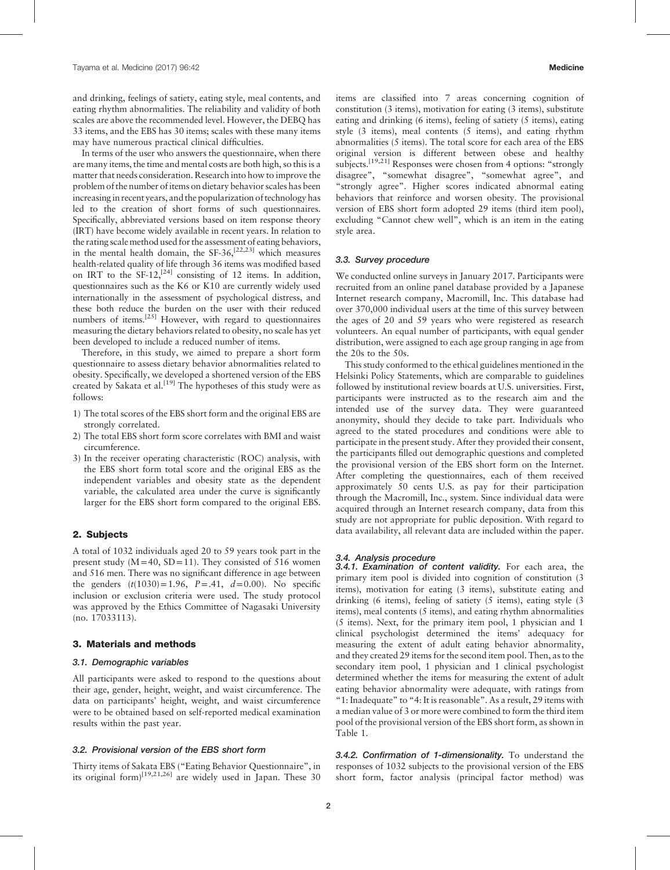and drinking, feelings of satiety, eating style, meal contents, and eating rhythm abnormalities. The reliability and validity of both scales are above the recommended level. However, the DEBQ has 33 items, and the EBS has 30 items; scales with these many items may have numerous practical clinical difficulties.

In terms of the user who answers the questionnaire, when there are many items, the time and mental costs are both high, so this is a matter that needs consideration. Research into how to improve the problem of the number of items on dietary behavior scales has been increasing in recent years, and the popularization of technology has led to the creation of short forms of such questionnaires. Specifically, abbreviated versions based on item response theory (IRT) have become widely available in recent years. In relation to the rating scale method used for the assessment of eating behaviors, in the mental health domain, the  $SF-36$ ,  $[22,23]$  which measures health-related quality of life through 36 items was modified based on IRT to the SF-12,<sup>[\[24\]](#page-5-0)</sup> consisting of 12 items. In addition, questionnaires such as the K6 or K10 are currently widely used internationally in the assessment of psychological distress, and these both reduce the burden on the user with their reduced numbers of items[.\[25\]](#page-5-0) However, with regard to questionnaires measuring the dietary behaviors related to obesity, no scale has yet been developed to include a reduced number of items.

Therefore, in this study, we aimed to prepare a short form questionnaire to assess dietary behavior abnormalities related to obesity. Specifically, we developed a shortened version of the EBS created by Sakata et al.<sup>[19]</sup> The hypotheses of this study were as follows:

- 1) The total scores of the EBS short form and the original EBS are strongly correlated.
- 2) The total EBS short form score correlates with BMI and waist circumference.
- 3) In the receiver operating characteristic (ROC) analysis, with the EBS short form total score and the original EBS as the independent variables and obesity state as the dependent variable, the calculated area under the curve is significantly larger for the EBS short form compared to the original EBS.

## 2. Subjects

A total of 1032 individuals aged 20 to 59 years took part in the present study  $(M=40, SD=11)$ . They consisted of 516 women and 516 men. There was no significant difference in age between the genders  $(t(1030)=1.96, P=.41, d=0.00)$ . No specific inclusion or exclusion criteria were used. The study protocol was approved by the Ethics Committee of Nagasaki University (no. 17033113).

## 3. Materials and methods

#### 3.1. Demographic variables

All participants were asked to respond to the questions about their age, gender, height, weight, and waist circumference. The data on participants' height, weight, and waist circumference were to be obtained based on self-reported medical examination results within the past year.

# 3.2. Provisional version of the EBS short form

Thirty items of Sakata EBS ("Eating Behavior Questionnaire", in its original form) $[19,21,26]$  are widely used in Japan. These 30 items are classified into 7 areas concerning cognition of constitution (3 items), motivation for eating (3 items), substitute eating and drinking (6 items), feeling of satiety (5 items), eating style (3 items), meal contents (5 items), and eating rhythm abnormalities (5 items). The total score for each area of the EBS original version is different between obese and healthy subjects.<sup>[19,21]</sup> Responses were chosen from 4 options: "strongly disagree", "somewhat disagree", "somewhat agree", and "strongly agree". Higher scores indicated abnormal eating behaviors that reinforce and worsen obesity. The provisional version of EBS short form adopted 29 items (third item pool), excluding "Cannot chew well", which is an item in the eating style area.

#### 3.3. Survey procedure

We conducted online surveys in January 2017. Participants were recruited from an online panel database provided by a Japanese Internet research company, Macromill, Inc. This database had over 370,000 individual users at the time of this survey between the ages of 20 and 59 years who were registered as research volunteers. An equal number of participants, with equal gender distribution, were assigned to each age group ranging in age from the 20s to the 50s.

This study conformed to the ethical guidelines mentioned in the Helsinki Policy Statements, which are comparable to guidelines followed by institutional review boards at U.S. universities. First, participants were instructed as to the research aim and the intended use of the survey data. They were guaranteed anonymity, should they decide to take part. Individuals who agreed to the stated procedures and conditions were able to participate in the present study. After they provided their consent, the participants filled out demographic questions and completed the provisional version of the EBS short form on the Internet. After completing the questionnaires, each of them received approximately 50 cents U.S. as pay for their participation through the Macromill, Inc., system. Since individual data were acquired through an Internet research company, data from this study are not appropriate for public deposition. With regard to data availability, all relevant data are included within the paper.

#### 3.4. Analysis procedure

3.4.1. Examination of content validity. For each area, the primary item pool is divided into cognition of constitution (3 items), motivation for eating (3 items), substitute eating and drinking (6 items), feeling of satiety (5 items), eating style (3 items), meal contents (5 items), and eating rhythm abnormalities (5 items). Next, for the primary item pool, 1 physician and 1 clinical psychologist determined the items' adequacy for measuring the extent of adult eating behavior abnormality, and they created 29 items for the second item pool. Then, as to the secondary item pool, 1 physician and 1 clinical psychologist determined whether the items for measuring the extent of adult eating behavior abnormality were adequate, with ratings from "1: Inadequate" to "4: It is reasonable". As a result, 29 items with a median value of 3 or more were combined to form the third item pool of the provisional version of the EBS short form, as shown in [Table 1.](#page-2-0)

3.4.2. Confirmation of 1-dimensionality. To understand the responses of 1032 subjects to the provisional version of the EBS short form, factor analysis (principal factor method) was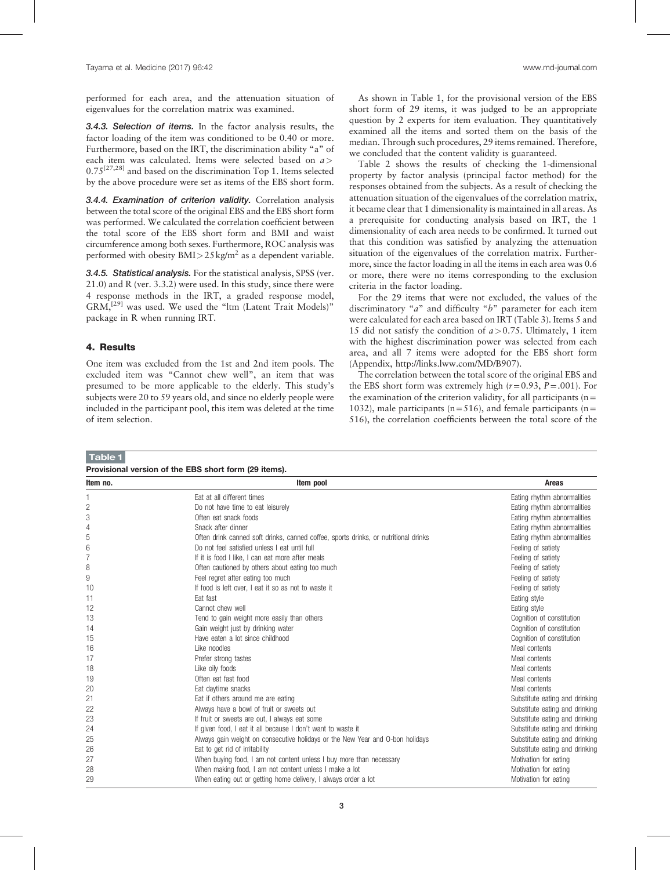<span id="page-2-0"></span>performed for each area, and the attenuation situation of eigenvalues for the correlation matrix was examined.

3.4.3. Selection of items. In the factor analysis results, the factor loading of the item was conditioned to be 0.40 or more. Furthermore, based on the IRT, the discrimination ability "a" of each item was calculated. Items were selected based on a>  $0.75^{[27,28]}$  and based on the discrimination Top 1. Items selected by the above procedure were set as items of the EBS short form.

3.4.4. Examination of criterion validity. Correlation analysis between the total score of the original EBS and the EBS short form was performed. We calculated the correlation coefficient between the total score of the EBS short form and BMI and waist circumference among both sexes. Furthermore, ROC analysis was performed with obesity  $BMI > 25 \text{ kg/m}^2$  as a dependent variable.

**3.4.5. Statistical analysis.** For the statistical analysis, SPSS (ver. 21.0) and R (ver. 3.3.2) were used. In this study, since there were 4 response methods in the IRT, a graded response model, GRM,[\[29\]](#page-5-0) was used. We used the "ltm (Latent Trait Models)" package in R when running IRT.

## 4. Results

One item was excluded from the 1st and 2nd item pools. The excluded item was "Cannot chew well", an item that was presumed to be more applicable to the elderly. This study's subjects were 20 to 59 years old, and since no elderly people were included in the participant pool, this item was deleted at the time of item selection.

As shown in Table 1, for the provisional version of the EBS short form of 29 items, it was judged to be an appropriate question by 2 experts for item evaluation. They quantitatively examined all the items and sorted them on the basis of the median. Through such procedures, 29 items remained. Therefore, we concluded that the content validity is guaranteed.

[Table 2](#page-3-0) shows the results of checking the 1-dimensional property by factor analysis (principal factor method) for the responses obtained from the subjects. As a result of checking the attenuation situation of the eigenvalues of the correlation matrix, it became clear that 1 dimensionality is maintained in all areas. As a prerequisite for conducting analysis based on IRT, the 1 dimensionality of each area needs to be confirmed. It turned out that this condition was satisfied by analyzing the attenuation situation of the eigenvalues of the correlation matrix. Furthermore, since the factor loading in all the items in each area was 0.6 or more, there were no items corresponding to the exclusion criteria in the factor loading.

For the 29 items that were not excluded, the values of the discriminatory "a" and difficulty "b" parameter for each item were calculated for each area based on IRT ([Table 3](#page-3-0)). Items 5 and 15 did not satisfy the condition of  $a > 0.75$ . Ultimately, 1 item with the highest discrimination power was selected from each area, and all 7 items were adopted for the EBS short form (Appendix,<http://links.lww.com/MD/B907>).

The correlation between the total score of the original EBS and the EBS short form was extremely high  $(r=0.93, P=.001)$ . For the examination of the criterion validity, for all participants ( $n=$ 1032), male participants ( $n=516$ ), and female participants ( $n=$ 516), the correlation coefficients between the total score of the

| Table 1                                               |                                                                                     |                                |  |  |  |  |  |
|-------------------------------------------------------|-------------------------------------------------------------------------------------|--------------------------------|--|--|--|--|--|
| Provisional version of the EBS short form (29 items). |                                                                                     |                                |  |  |  |  |  |
| Item no.                                              | Item pool                                                                           | <b>Areas</b>                   |  |  |  |  |  |
|                                                       | Eat at all different times                                                          | Eating rhythm abnormalities    |  |  |  |  |  |
| $\overline{c}$                                        | Do not have time to eat leisurely                                                   | Eating rhythm abnormalities    |  |  |  |  |  |
| 3                                                     | Often eat snack foods                                                               | Eating rhythm abnormalities    |  |  |  |  |  |
| 4                                                     | Snack after dinner                                                                  | Eating rhythm abnormalities    |  |  |  |  |  |
| 5                                                     | Often drink canned soft drinks, canned coffee, sports drinks, or nutritional drinks | Eating rhythm abnormalities    |  |  |  |  |  |
| 6                                                     | Do not feel satisfied unless I eat until full                                       | Feeling of satiety             |  |  |  |  |  |
| $\overline{7}$                                        | If it is food I like. I can eat more after meals                                    | Feeling of satiety             |  |  |  |  |  |
| 8                                                     | Often cautioned by others about eating too much                                     | Feeling of satiety             |  |  |  |  |  |
| 9                                                     | Feel regret after eating too much                                                   | Feeling of satiety             |  |  |  |  |  |
| 10                                                    | If food is left over, I eat it so as not to waste it                                | Feeling of satiety             |  |  |  |  |  |
| 11                                                    | Eat fast                                                                            | Eating style                   |  |  |  |  |  |
| 12                                                    | Cannot chew well                                                                    | Eating style                   |  |  |  |  |  |
| 13                                                    | Tend to gain weight more easily than others                                         | Cognition of constitution      |  |  |  |  |  |
| 14                                                    | Gain weight just by drinking water                                                  | Cognition of constitution      |  |  |  |  |  |
| 15                                                    | Have eaten a lot since childhood                                                    | Cognition of constitution      |  |  |  |  |  |
| 16                                                    | Like noodles                                                                        | Meal contents                  |  |  |  |  |  |
| 17                                                    | Prefer strong tastes                                                                | Meal contents                  |  |  |  |  |  |
| 18                                                    | Like oily foods                                                                     | Meal contents                  |  |  |  |  |  |
| 19                                                    | Often eat fast food                                                                 | Meal contents                  |  |  |  |  |  |
| 20                                                    | Eat daytime snacks                                                                  | Meal contents                  |  |  |  |  |  |
| 21                                                    | Eat if others around me are eating                                                  | Substitute eating and drinking |  |  |  |  |  |
| 22                                                    | Always have a bowl of fruit or sweets out                                           | Substitute eating and drinking |  |  |  |  |  |
| 23                                                    | If fruit or sweets are out, I always eat some                                       | Substitute eating and drinking |  |  |  |  |  |
| 24                                                    | If given food, I eat it all because I don't want to waste it                        | Substitute eating and drinking |  |  |  |  |  |
| 25                                                    | Always gain weight on consecutive holidays or the New Year and O-bon holidays       | Substitute eating and drinking |  |  |  |  |  |
| 26                                                    | Eat to get rid of irritability                                                      | Substitute eating and drinking |  |  |  |  |  |
| 27                                                    | When buying food, I am not content unless I buy more than necessary                 | Motivation for eating          |  |  |  |  |  |
| 28                                                    | When making food, I am not content unless I make a lot                              | Motivation for eating          |  |  |  |  |  |
| 29                                                    | When eating out or getting home delivery, I always order a lot                      | Motivation for eating          |  |  |  |  |  |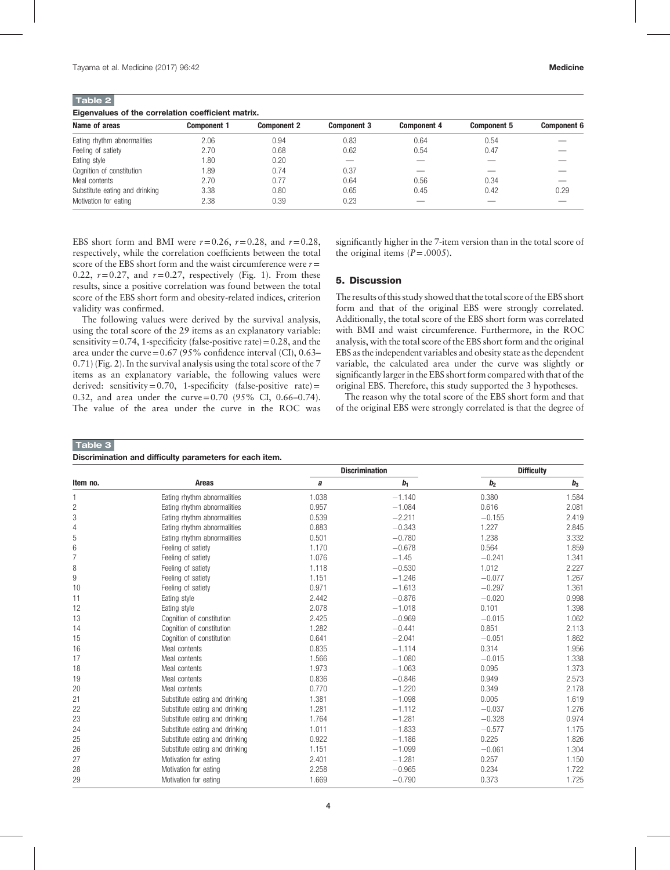<span id="page-3-0"></span>Table 2

Eigenvalues of the correlation coefficient matrix.

| <b>Component 1</b> | <b>Component 2</b> | <b>Component 3</b> | <b>Component 4</b> | <b>Component 5</b> | <b>Component 6</b> |  |  |  |  |
|--------------------|--------------------|--------------------|--------------------|--------------------|--------------------|--|--|--|--|
| 2.06               | 0.94               | 0.83               | 0.64               | 0.54               |                    |  |  |  |  |
| 2.70               | 0.68               | 0.62               | 0.54               | 0.47               |                    |  |  |  |  |
| 1.80               | 0.20               | ---                |                    |                    |                    |  |  |  |  |
| 1.89               | 0.74               | 0.37               |                    |                    |                    |  |  |  |  |
| 2.70               | 0.77               | 0.64               | 0.56               | 0.34               |                    |  |  |  |  |
| 3.38               | 0.80               | 0.65               | 0.45               | 0.42               | 0.29               |  |  |  |  |
| 2.38               | 0.39               | 0.23               |                    |                    |                    |  |  |  |  |
|                    |                    |                    |                    |                    |                    |  |  |  |  |

EBS short form and BMI were  $r=0.26$ ,  $r=0.28$ , and  $r=0.28$ , respectively, while the correlation coefficients between the total score of the EBS short form and the waist circumference were  $r=$ 0.22,  $r=0.27$ , and  $r=0.27$ , respectively ([Fig. 1\)](#page-4-0). From these results, since a positive correlation was found between the total score of the EBS short form and obesity-related indices, criterion validity was confirmed.

The following values were derived by the survival analysis, using the total score of the 29 items as an explanatory variable: sensitivity =  $0.74$ , 1-specificity (false-positive rate) =  $0.28$ , and the area under the curve= $0.67$  (95% confidence interval (CI),  $0.63-$ 0.71) ([Fig. 2\)](#page-4-0). In the survival analysis using the total score of the 7 items as an explanatory variable, the following values were derived: sensitivity=0.70, 1-specificity (false-positive rate)= 0.32, and area under the curve=0.70 (95% CI, 0.66–0.74). The value of the area under the curve in the ROC was

significantly higher in the 7-item version than in the total score of the original items  $(P=.0005)$ .

## 5. Discussion

The results of this study showed that the total score of the EBS short form and that of the original EBS were strongly correlated. Additionally, the total score of the EBS short form was correlated with BMI and waist circumference. Furthermore, in the ROC analysis, with the total score of the EBS short form and the original EBS as the independent variables and obesity state as the dependent variable, the calculated area under the curve was slightly or significantly larger in the EBS short form compared with that of the original EBS. Therefore, this study supported the 3 hypotheses.

The reason why the total score of the EBS short form and that of the original EBS were strongly correlated is that the degree of

#### Table 3

| Discrimination and difficulty parameters for each item. |                                |       |                       |                   |       |  |  |  |
|---------------------------------------------------------|--------------------------------|-------|-----------------------|-------------------|-------|--|--|--|
| Item no.                                                | Areas                          |       | <b>Discrimination</b> | <b>Difficulty</b> |       |  |  |  |
|                                                         |                                | a     | b <sub>1</sub>        | b <sub>2</sub>    | $b_3$ |  |  |  |
|                                                         | Eating rhythm abnormalities    | 1.038 | $-1.140$              | 0.380             | 1.584 |  |  |  |
| 2                                                       | Eating rhythm abnormalities    | 0.957 | $-1.084$              | 0.616             | 2.081 |  |  |  |
| 3                                                       | Eating rhythm abnormalities    | 0.539 | $-2.211$              | $-0.155$          | 2.419 |  |  |  |
| 4                                                       | Eating rhythm abnormalities    | 0.883 | $-0.343$              | 1.227             | 2.845 |  |  |  |
| 5                                                       | Eating rhythm abnormalities    | 0.501 | $-0.780$              | 1.238             | 3.332 |  |  |  |
| 6                                                       | Feeling of satiety             | 1.170 | $-0.678$              | 0.564             | 1.859 |  |  |  |
| 7                                                       | Feeling of satiety             | 1.076 | $-1.45$               | $-0.241$          | 1.341 |  |  |  |
| 8                                                       | Feeling of satiety             | 1.118 | $-0.530$              | 1.012             | 2.227 |  |  |  |
| 9                                                       | Feeling of satiety             | 1.151 | $-1.246$              | $-0.077$          | 1.267 |  |  |  |
| 10                                                      | Feeling of satiety             | 0.971 | $-1.613$              | $-0.297$          | 1.361 |  |  |  |
| 11                                                      | Eating style                   | 2.442 | $-0.876$              | $-0.020$          | 0.998 |  |  |  |
| 12                                                      | Eating style                   | 2.078 | $-1.018$              | 0.101             | 1.398 |  |  |  |
| 13                                                      | Cognition of constitution      | 2.425 | $-0.969$              | $-0.015$          | 1.062 |  |  |  |
| 14                                                      | Cognition of constitution      | 1.282 | $-0.441$              | 0.851             | 2.113 |  |  |  |
| 15                                                      | Cognition of constitution      | 0.641 | $-2.041$              | $-0.051$          | 1.862 |  |  |  |
| 16                                                      | Meal contents                  | 0.835 | $-1.114$              | 0.314             | 1.956 |  |  |  |
| 17                                                      | Meal contents                  | 1.566 | $-1.080$              | $-0.015$          | 1.338 |  |  |  |
| 18                                                      | Meal contents                  | 1.973 | $-1.063$              | 0.095             | 1.373 |  |  |  |
| 19                                                      | Meal contents                  | 0.836 | $-0.846$              | 0.949             | 2.573 |  |  |  |
| 20                                                      | Meal contents                  | 0.770 | $-1.220$              | 0.349             | 2.178 |  |  |  |
| 21                                                      | Substitute eating and drinking | 1.381 | $-1.098$              | 0.005             | 1.619 |  |  |  |
| 22                                                      | Substitute eating and drinking | 1.281 | $-1.112$              | $-0.037$          | 1.276 |  |  |  |
| 23                                                      | Substitute eating and drinking | 1.764 | $-1.281$              | $-0.328$          | 0.974 |  |  |  |
| 24                                                      | Substitute eating and drinking | 1.011 | $-1.833$              | $-0.577$          | 1.175 |  |  |  |
| 25                                                      | Substitute eating and drinking | 0.922 | $-1.186$              | 0.225             | 1.826 |  |  |  |
| 26                                                      | Substitute eating and drinking | 1.151 | $-1.099$              | $-0.061$          | 1.304 |  |  |  |
| 27                                                      | Motivation for eating          | 2.401 | $-1.281$              | 0.257             | 1.150 |  |  |  |
| 28                                                      | Motivation for eating          | 2.258 | $-0.965$              | 0.234             | 1.722 |  |  |  |

29 Motivation for eating 1.669  $-0.790$  0.373 1.725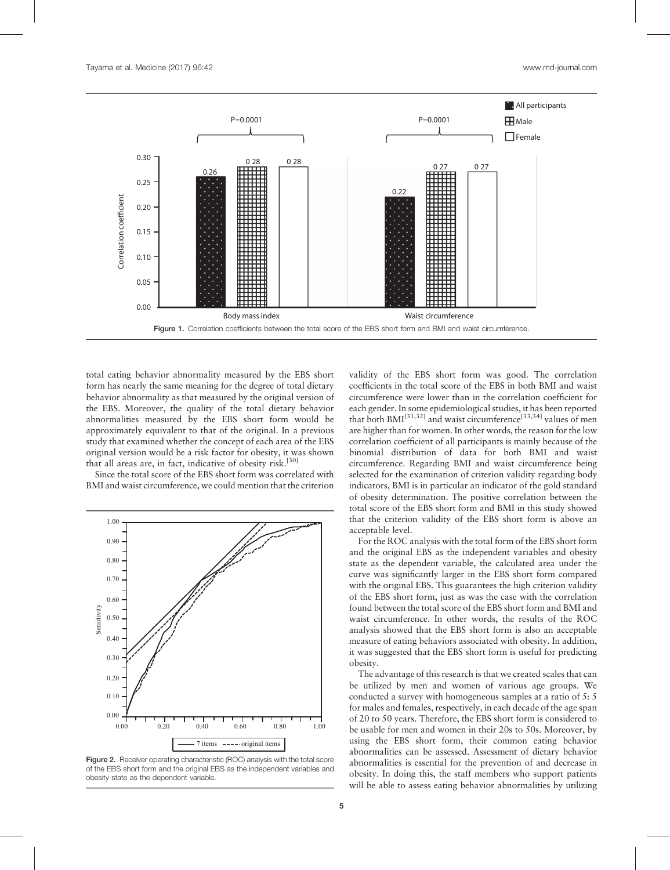<span id="page-4-0"></span>

total eating behavior abnormality measured by the EBS short form has nearly the same meaning for the degree of total dietary behavior abnormality as that measured by the original version of the EBS. Moreover, the quality of the total dietary behavior abnormalities measured by the EBS short form would be approximately equivalent to that of the original. In a previous study that examined whether the concept of each area of the EBS original version would be a risk factor for obesity, it was shown that all areas are, in fact, indicative of obesity risk.<sup>[\[30\]](#page-5-0)</sup>

Since the total score of the EBS short form was correlated with BMI and waist circumference, we could mention that the criterion



Figure 2. Receiver operating characteristic (ROC) analysis with the total score of the EBS short form and the original EBS as the independent variables and obesity state as the dependent variable.

validity of the EBS short form was good. The correlation coefficients in the total score of the EBS in both BMI and waist circumference were lower than in the correlation coefficient for each gender. In some epidemiological studies, it has been reported that both  $BMI^{[31,32]}$  and waist circumference<sup>[33,34]</sup> values of men are higher than for women. In other words, the reason for the low correlation coefficient of all participants is mainly because of the binomial distribution of data for both BMI and waist circumference. Regarding BMI and waist circumference being selected for the examination of criterion validity regarding body indicators, BMI is in particular an indicator of the gold standard of obesity determination. The positive correlation between the total score of the EBS short form and BMI in this study showed that the criterion validity of the EBS short form is above an acceptable level.

For the ROC analysis with the total form of the EBS short form and the original EBS as the independent variables and obesity state as the dependent variable, the calculated area under the curve was significantly larger in the EBS short form compared with the original EBS. This guarantees the high criterion validity of the EBS short form, just as was the case with the correlation found between the total score of the EBS short form and BMI and waist circumference. In other words, the results of the ROC analysis showed that the EBS short form is also an acceptable measure of eating behaviors associated with obesity. In addition, it was suggested that the EBS short form is useful for predicting obesity.

The advantage of this research is that we created scales that can be utilized by men and women of various age groups. We conducted a survey with homogeneous samples at a ratio of 5: 5 for males and females, respectively, in each decade of the age span of 20 to 50 years. Therefore, the EBS short form is considered to be usable for men and women in their 20s to 50s. Moreover, by using the EBS short form, their common eating behavior abnormalities can be assessed. Assessment of dietary behavior abnormalities is essential for the prevention of and decrease in obesity. In doing this, the staff members who support patients will be able to assess eating behavior abnormalities by utilizing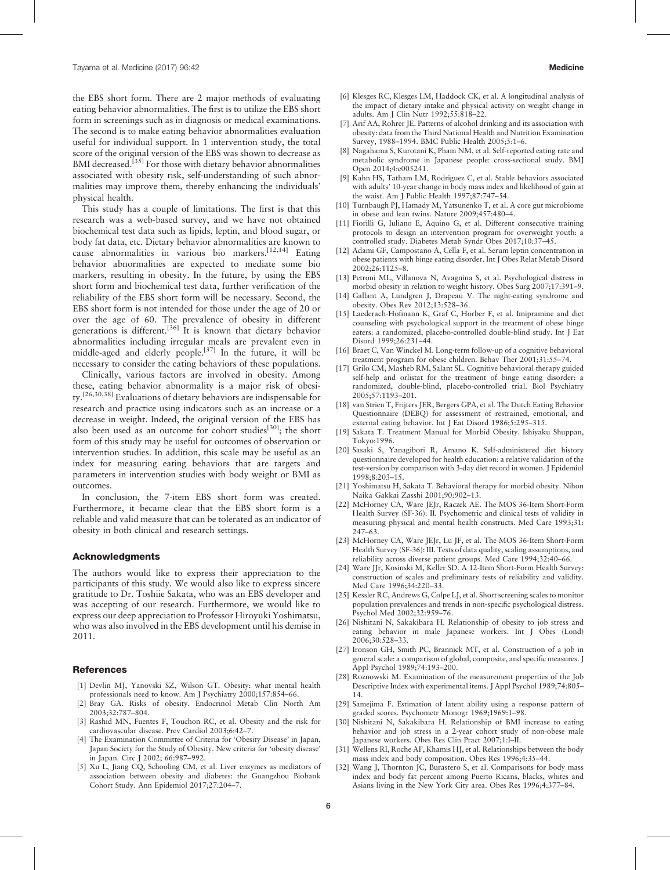<span id="page-5-0"></span>the EBS short form. There are 2 major methods of evaluating eating behavior abnormalities. The first is to utilize the EBS short form in screenings such as in diagnosis or medical examinations. The second is to make eating behavior abnormalities evaluation useful for individual support. In 1 intervention study, the total score of the original version of the EBS was shown to decrease as BMI decreased.<sup>[\[35\]](#page-6-0)</sup> For those with dietary behavior abnormalities associated with obesity risk, self-understanding of such abnormalities may improve them, thereby enhancing the individuals' physical health.

This study has a couple of limitations. The first is that this research was a web-based survey, and we have not obtained biochemical test data such as lipids, leptin, and blood sugar, or body fat data, etc. Dietary behavior abnormalities are known to cause abnormalities in various bio markers.[12,14] Eating behavior abnormalities are expected to mediate some bio markers, resulting in obesity. In the future, by using the EBS short form and biochemical test data, further verification of the reliability of the EBS short form will be necessary. Second, the EBS short form is not intended for those under the age of 20 or over the age of 60. The prevalence of obesity in different generations is different.<sup>[\[36\]](#page-6-0)</sup> It is known that dietary behavior abnormalities including irregular meals are prevalent even in middle-aged and elderly people.<sup>[\[37\]](#page-6-0)</sup> In the future, it will be necessary to consider the eating behaviors of these populations.

Clinically, various factors are involved in obesity. Among these, eating behavior abnormality is a major risk of obesity.[26,30,38] Evaluations of dietary behaviors are indispensable for research and practice using indicators such as an increase or a decrease in weight. Indeed, the original version of the EBS has also been used as an outcome for cohort studies<sup>[30]</sup>; the short form of this study may be useful for outcomes of observation or intervention studies. In addition, this scale may be useful as an index for measuring eating behaviors that are targets and parameters in intervention studies with body weight or BMI as outcomes.

In conclusion, the 7-item EBS short form was created. Furthermore, it became clear that the EBS short form is a reliable and valid measure that can be tolerated as an indicator of obesity in both clinical and research settings.

#### Acknowledgments

The authors would like to express their appreciation to the participants of this study. We would also like to express sincere gratitude to Dr. Toshiie Sakata, who was an EBS developer and was accepting of our research. Furthermore, we would like to express our deep appreciation to Professor Hiroyuki Yoshimatsu, who was also involved in the EBS development until his demise in 2011.

#### References

- [1] Devlin MJ, Yanovski SZ, Wilson GT. Obesity: what mental health professionals need to know. Am J Psychiatry 2000;157:854–66.
- [2] Bray GA. Risks of obesity. Endocrinol Metab Clin North Am 2003;32:787–804.
- [3] Rashid MN, Fuentes F, Touchon RC, et al. Obesity and the risk for cardiovascular disease. Prev Cardiol 2003;6:42–7.
- [4] The Examination Committee of Criteria for 'Obesity Disease' in Japan, Japan Society for the Study of Obesity. New criteria for 'obesity disease' in Japan. Circ J 2002; 66:987–992.
- [5] Xu L, Jiang CQ, Schooling CM, et al. Liver enzymes as mediators of association between obesity and diabetes: the Guangzhou Biobank Cohort Study. Ann Epidemiol 2017;27:204–7.
- [6] Klesges RC, Klesges LM, Haddock CK, et al. A longitudinal analysis of the impact of dietary intake and physical activity on weight change in adults. Am J Clin Nutr 1992;55:818–22.
- [7] Arif AA, Rohrer JE. Patterns of alcohol drinking and its association with obesity: data from the Third National Health and Nutrition Examination Survey, 1988–1994. BMC Public Health 2005;5:1–6.
- [8] Nagahama S, Kurotani K, Pham NM, et al. Self-reported eating rate and metabolic syndrome in Japanese people: cross-sectional study. BMJ Open 2014;4:e005241.
- [9] Kahn HS, Tatham LM, Rodriguez C, et al. Stable behaviors associated with adults' 10-year change in body mass index and likelihood of gain at the waist. Am J Public Health 1997;87:747–54.
- [10] Turnbaugh PJ, Hamady M, Yatsunenko T, et al. A core gut microbiome in obese and lean twins. Nature 2009;457:480–4.
- [11] Fiorilli G, Iuliano E, Aquino G, et al. Different consecutive training protocols to design an intervention program for overweight youth: a controlled study. Diabetes Metab Syndr Obes 2017;10:37–45.
- [12] Adami GF, Campostano A, Cella F, et al. Serum leptin concentration in obese patients with binge eating disorder. Int J Obes Relat Metab Disord 2002;26:1125–8.
- [13] Petroni ML, Villanova N, Avagnina S, et al. Psychological distress in morbid obesity in relation to weight history. Obes Surg 2007;17:391–9.
- [14] Gallant A, Lundgren J, Drapeau V. The night-eating syndrome and obesity. Obes Rev 2012;13:528–36.
- [15] Laederach-Hofmann K, Graf C, Horber F, et al. Imipramine and diet counseling with psychological support in the treatment of obese binge eaters: a randomized, placebo-controlled double-blind study. Int J Eat Disord 1999;26:231–44.
- [16] Braet C, Van Winckel M. Long-term follow-up of a cognitive behavioral treatment program for obese children. Behav Ther 2001;31:55–74.
- [17] Grilo CM, Masheb RM, Salant SL. Cognitive behavioral therapy guided self-help and orlistat for the treatment of binge eating disorder: a randomized, double-blind, placebo-controlled trial. Biol Psychiatry 2005;57:1193–201.
- [18] van Strien T, Frijters JER, Bergers GPA, et al. The Dutch Eating Behavior Questionnaire (DEBQ) for assessment of restrained, emotional, and external eating behavior. Int J Eat Disord 1986;5:295–315.
- [19] Sakata T. Treatment Manual for Morbid Obesity. Ishiyaku Shuppan, Tokyo:1996.
- [20] Sasaki S, Yanagibori R, Amano K. Self-administered diet history questionnaire developed for health education: a relative validation of the test-version by comparison with 3-day diet record in women. J Epidemiol 1998;8:203–15.
- [21] Yoshimatsu H, Sakata T. Behavioral therapy for morbid obesity. Nihon Naika Gakkai Zasshi 2001;90:902–13.
- [22] McHorney CA, Ware JEJr, Raczek AE. The MOS 36-Item Short-Form Health Survey (SF-36): II. Psychometric and clinical tests of validity in measuring physical and mental health constructs. Med Care 1993;31: 247–63.
- [23] McHorney CA, Ware JEJr, Lu JF, et al. The MOS 36-Item Short-Form Health Survey (SF-36): III. Tests of data quality, scaling assumptions, and reliability across diverse patient groups. Med Care 1994;32:40–66.
- [24] Ware JJr, Kosinski M, Keller SD. A 12-Item Short-Form Health Survey: construction of scales and preliminary tests of reliability and validity. Med Care 1996;34:220–33.
- [25] Kessler RC, Andrews G, Colpe LJ, et al. Short screening scales to monitor population prevalences and trends in non-specific psychological distress. Psychol Med 2002;32:959–76.
- [26] Nishitani N, Sakakibara H. Relationship of obesity to job stress and eating behavior in male Japanese workers. Int J Obes (Lond) 2006;30:528–33.
- [27] Ironson GH, Smith PC, Brannick MT, et al. Construction of a job in general scale: a comparison of global, composite, and specific measures. J Appl Psychol 1989;74:193–200.
- [28] Roznowski M. Examination of the measurement properties of the Job Descriptive Index with experimental items. J Appl Psychol 1989;74:805– 14.
- [29] Samejima F. Estimation of latent ability using a response pattern of graded scores. Psychometr Monogr 1969;1969:1–98.
- [30] Nishitani N, Sakakibara H. Relationship of BMI increase to eating behavior and job stress in a 2-year cohort study of non-obese male Japanese workers. Obes Res Clin Pract 2007;1:I–II.
- [31] Wellens RI, Roche AF, Khamis HJ, et al. Relationships between the body mass index and body composition. Obes Res 1996;4:35–44.
- [32] Wang J, Thornton JC, Burastero S, et al. Comparisons for body mass index and body fat percent among Puerto Ricans, blacks, whites and Asians living in the New York City area. Obes Res 1996;4:377–84.